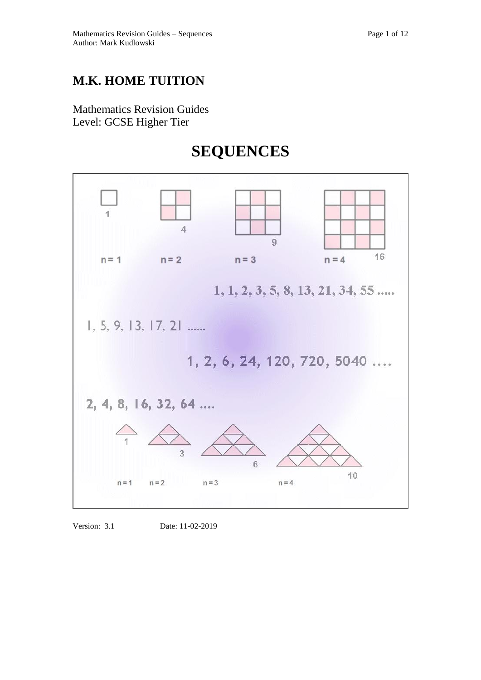## **M.K. HOME TUITION**

Mathematics Revision Guides Level: GCSE Higher Tier

# **SEQUENCES**



Version: 3.1 Date: 11-02-2019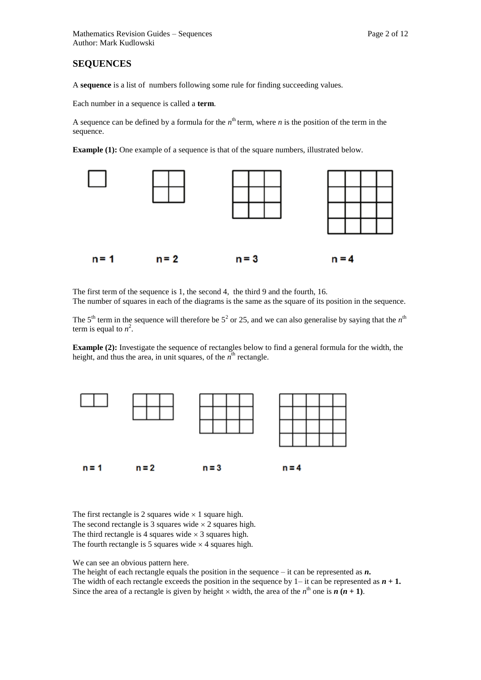### **SEQUENCES**

A **sequence** is a list of numbers following some rule for finding succeeding values.

Each number in a sequence is called a **term**.

A sequence can be defined by a formula for the  $n^{\text{th}}$  term, where *n* is the position of the term in the sequence.

**Example (1):** One example of a sequence is that of the square numbers, illustrated below.



The first term of the sequence is 1, the second 4, the third 9 and the fourth, 16.

The number of squares in each of the diagrams is the same as the square of its position in the sequence.

The 5<sup>th</sup> term in the sequence will therefore be  $5^2$  or 25, and we can also generalise by saying that the  $n^{\text{th}}$ term is equal to  $n^2$ .

**Example (2):** Investigate the sequence of rectangles below to find a general formula for the width, the height, and thus the area, in unit squares, of the  $n^{\text{th}}$  rectangle.



The first rectangle is 2 squares wide  $\times$  1 square high. The second rectangle is 3 squares wide  $\times$  2 squares high. The third rectangle is 4 squares wide  $\times$  3 squares high. The fourth rectangle is 5 squares wide  $\times$  4 squares high.

We can see an obvious pattern here.

The height of each rectangle equals the position in the sequence – it can be represented as *n***.** The width of each rectangle exceeds the position in the sequence by  $1-$  it can be represented as  $n + 1$ . Since the area of a rectangle is given by height  $\times$  width, the area of the  $n^{\text{th}}$  one is  $n(n+1)$ .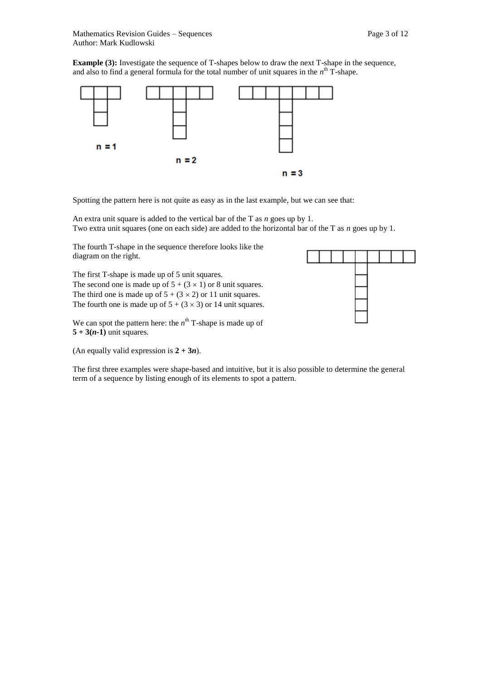**Example (3):** Investigate the sequence of T-shapes below to draw the next T-shape in the sequence, and also to find a general formula for the total number of unit squares in the  $n^{\text{th}}$  T-shape.



Spotting the pattern here is not quite as easy as in the last example, but we can see that:

An extra unit square is added to the vertical bar of the T as *n* goes up by 1. Two extra unit squares (one on each side) are added to the horizontal bar of the T as *n* goes up by 1.

The fourth T-shape in the sequence therefore looks like the diagram on the right.

The first T-shape is made up of 5 unit squares. The second one is made up of  $5 + (3 \times 1)$  or 8 unit squares. The third one is made up of  $5 + (3 \times 2)$  or 11 unit squares. The fourth one is made up of  $5 + (3 \times 3)$  or 14 unit squares.

We can spot the pattern here: the  $n<sup>th</sup>$  T-shape is made up of  $5 + 3(n-1)$  unit squares.

(An equally valid expression is  $2 + 3n$ ).

The first three examples were shape-based and intuitive, but it is also possible to determine the general term of a sequence by listing enough of its elements to spot a pattern.

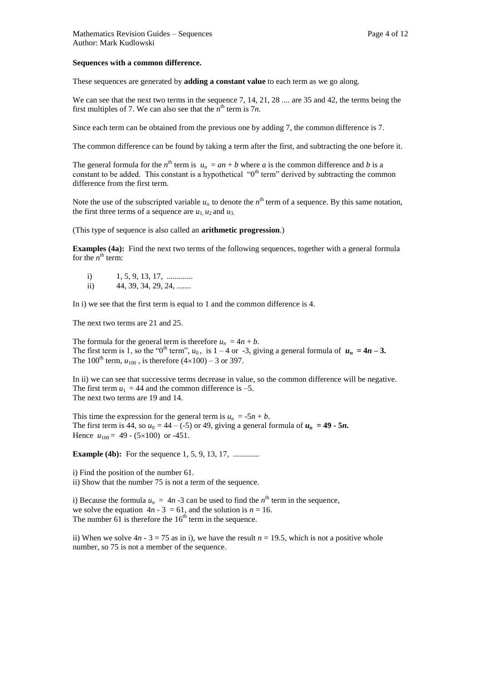#### **Sequences with a common difference.**

These sequences are generated by **adding a constant value** to each term as we go along.

We can see that the next two terms in the sequence 7, 14, 21, 28 .... are 35 and 42, the terms being the first multiples of 7. We can also see that the  $n^{\text{th}}$  term is 7*n*.

Since each term can be obtained from the previous one by adding 7, the common difference is 7.

The common difference can be found by taking a term after the first, and subtracting the one before it.

The general formula for the  $n^{\text{th}}$  term is  $u_n = an + b$  where *a* is the common difference and *b* is a constant to be added. This constant is a hypothetical " $0<sup>th</sup>$  term" derived by subtracting the common difference from the first term.

Note the use of the subscripted variable  $u_n$  to denote the  $n^{\text{th}}$  term of a sequence. By this same notation, the first three terms of a sequence are  $u_1$ ,  $u_2$  and  $u_3$ .

(This type of sequence is also called an **arithmetic progression**.)

**Examples (4a):** Find the next two terms of the following sequences, together with a general formula for the  $n^{\text{th}}$  term:

i) 1, 5, 9, 13, 17, .............. ii)  $44, 39, 34, 29, 24, \dots$ 

In i) we see that the first term is equal to 1 and the common difference is 4.

The next two terms are 21 and 25.

The formula for the general term is therefore  $u_n = 4n + b$ . The first term is 1, so the "0<sup>th</sup> term",  $u_0$ , is 1 – 4 or -3, giving a general formula of  $u_n = 4n - 3$ . The 100<sup>th</sup> term,  $u_{100}$ , is therefore  $(4\times100) - 3$  or 397.

In ii) we can see that successive terms decrease in value, so the common difference will be negative. The first term  $u_1 = 44$  and the common difference is -5. The next two terms are 19 and 14.

This time the expression for the general term is  $u_n = -5n + b$ . The first term is 44, so  $u_0 = 44 - (-5)$  or 49, giving a general formula of  $u_n = 49 - 5n$ . Hence  $u_{100} = 49 - (5 \times 100)$  or -451.

**Example (4b):** For the sequence 1, 5, 9, 13, 17, ..............

i) Find the position of the number 61. ii) Show that the number 75 is not a term of the sequence.

i) Because the formula  $u_n = 4n - 3$  can be used to find the  $n^{\text{th}}$  term in the sequence, we solve the equation  $4n - 3 = 61$ , and the solution is  $n = 16$ . The number 61 is therefore the  $16<sup>th</sup>$  term in the sequence.

ii) When we solve  $4n - 3 = 75$  as in i), we have the result  $n = 19.5$ , which is not a positive whole number, so 75 is not a member of the sequence.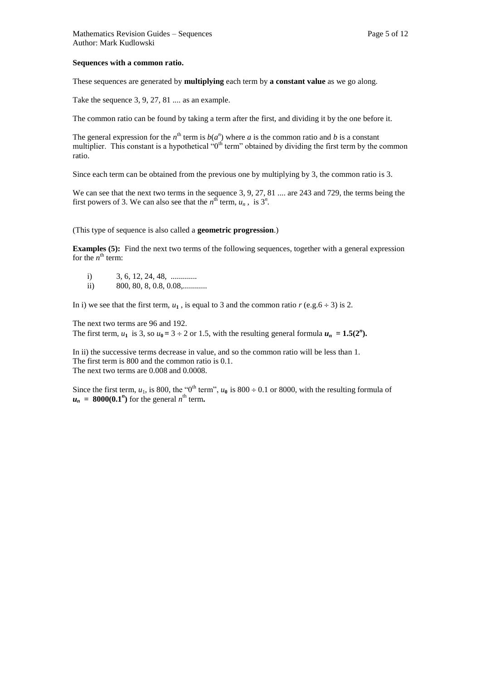#### **Sequences with a common ratio.**

These sequences are generated by **multiplying** each term by **a constant value** as we go along.

Take the sequence 3, 9, 27, 81 .... as an example.

The common ratio can be found by taking a term after the first, and dividing it by the one before it.

The general expression for the  $n^{\text{th}}$  term is  $b(a^n)$  where *a* is the common ratio and *b* is a constant multiplier. This constant is a hypothetical  $\mathbf{u}_0$ <sup>th</sup> term" obtained by dividing the first term by the common ratio.

Since each term can be obtained from the previous one by multiplying by 3, the common ratio is 3.

We can see that the next two terms in the sequence 3, 9, 27, 81 ... are 243 and 729, the terms being the first powers of 3. We can also see that the  $n^{\text{th}}$  term,  $u_n$ , is  $3^n$ .

(This type of sequence is also called a **geometric progression**.)

**Examples** (5): Find the next two terms of the following sequences, together with a general expression for the  $n^{\text{th}}$  term:

- i) 3, 6, 12, 24, 48, ...............
- ii) 800, 80, 8, 0.8, 0.08,.............

In i) we see that the first term,  $u_1$ , is equal to 3 and the common ratio  $r$  (e.g.6  $\div$  3) is 2.

The next two terms are 96 and 192. The first term,  $u_1$  is 3, so  $u_0 = 3 \div 2$  or 1.5, with the resulting general formula  $u_n = 1.5(2^n)$ .

In ii) the successive terms decrease in value, and so the common ratio will be less than 1. The first term is 800 and the common ratio is 0.1. The next two terms are 0.008 and 0.0008.

Since the first term,  $u_1$ , is 800, the "0<sup>th</sup> term",  $u_0$  is 800 ÷ 0.1 or 8000, with the resulting formula of  $u_n = 8000(0.1^n)$  for the general  $n^{\text{th}}$  term.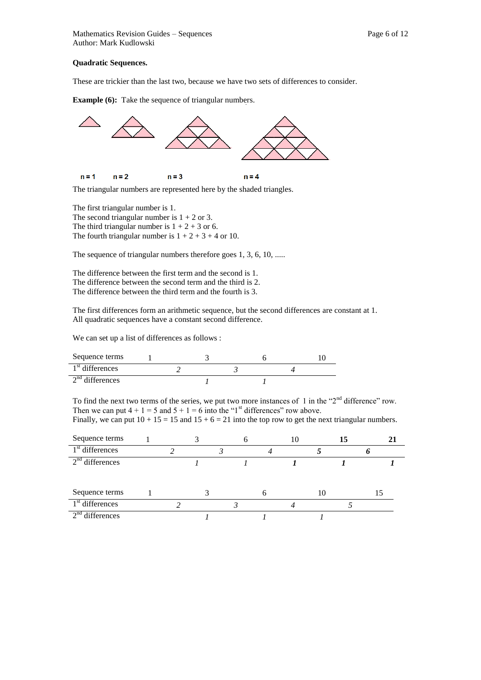#### **Quadratic Sequences.**

These are trickier than the last two, because we have two sets of differences to consider.

**Example (6):** Take the sequence of triangular numbers.



The triangular numbers are represented here by the shaded triangles.

The first triangular number is 1. The second triangular number is  $1 + 2$  or 3. The third triangular number is  $1 + 2 + 3$  or 6. The fourth triangular number is  $1 + 2 + 3 + 4$  or 10.

The sequence of triangular numbers therefore goes 1, 3, 6, 10, .....

The difference between the first term and the second is 1. The difference between the second term and the third is 2. The difference between the third term and the fourth is 3.

The first differences form an arithmetic sequence, but the second differences are constant at 1. All quadratic sequences have a constant second difference.

We can set up a list of differences as follows :

| Sequence terms              |  |  |  |  |
|-----------------------------|--|--|--|--|
| 1 <sup>st</sup> differences |  |  |  |  |
| $2nd$ differences           |  |  |  |  |

To find the next two terms of the series, we put two more instances of 1 in the "2<sup>nd</sup> difference" row. Then we can put  $4 + 1 = 5$  and  $5 + 1 = 6$  into the "1<sup>st</sup> differences" row above. Finally, we can put  $10 + 15 = 15$  and  $15 + 6 = 21$  into the top row to get the next triangular numbers.

| Sequence terms    |  |  | 10 |    | 15 | 21 |
|-------------------|--|--|----|----|----|----|
| $1st$ differences |  |  |    |    |    |    |
| $2nd$ differences |  |  |    |    |    |    |
| Sequence terms    |  |  |    | 10 |    |    |
| $1st$ differences |  |  |    |    |    |    |
| $2nd$ differences |  |  |    |    |    |    |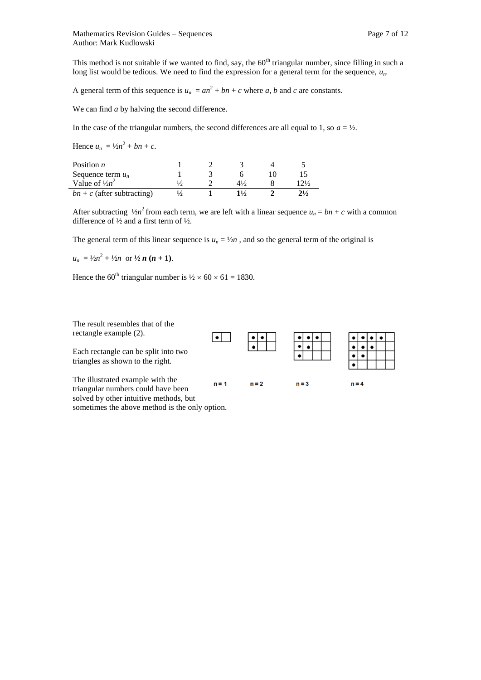This method is not suitable if we wanted to find, say, the  $60<sup>th</sup>$  triangular number, since filling in such a long list would be tedious. We need to find the expression for a general term for the sequence,  $u_n$ .

A general term of this sequence is  $u_n = an^2 + bn + c$  where *a*, *b* and *c* are constants.

We can find *a* by halving the second difference.

In the case of the triangular numbers, the second differences are all equal to 1, so  $a = \frac{1}{2}$ .

Hence  $u_n = \frac{1}{2n^2} + bn + c$ .

| Position $n$                 |  |                |                 |
|------------------------------|--|----------------|-----------------|
| Sequence term $u_n$          |  |                |                 |
| Value of $\frac{1}{2}n^2$    |  | $4\frac{1}{2}$ | $12\frac{1}{2}$ |
| $bn + c$ (after subtracting) |  | 11⁄2           | 21/2            |

After subtracting  $\frac{1}{2}n^2$  from each term, we are left with a linear sequence  $u_n = bn + c$  with a common difference of ½ and a first term of ½.

The general term of this linear sequence is  $u_n = \frac{1}{2}n$ , and so the general term of the original is

 $u_n = \frac{1}{2}n^2 + \frac{1}{2}n$  or  $\frac{1}{2}n(n+1)$ .

Hence the 60<sup>th</sup> triangular number is  $\frac{1}{2} \times 60 \times 61 = 1830$ .



sometimes the above method is the only option.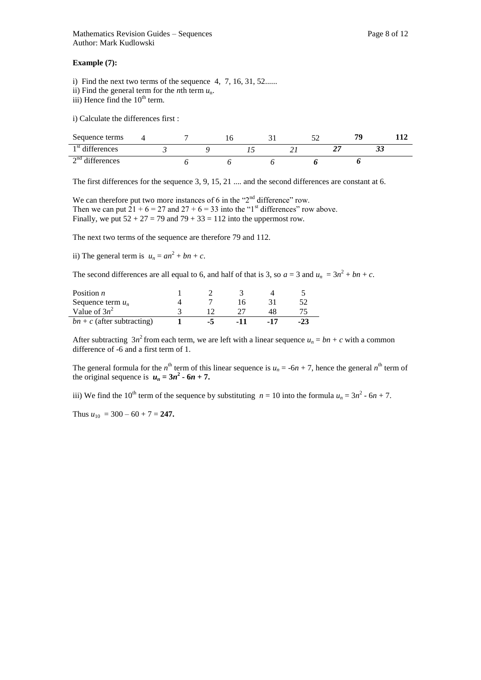#### **Example (7):**

- i) Find the next two terms of the sequence  $4, 7, 16, 31, 52...$
- ii) Find the general term for the *n*th term *u*n.

iii) Hence find the  $10<sup>th</sup>$  term.

i) Calculate the differences first :

| Sequence terms    |  |  |  |  |  | 70 |   |  |
|-------------------|--|--|--|--|--|----|---|--|
| $1st$ differences |  |  |  |  |  |    | ັ |  |
| $2nd$ differences |  |  |  |  |  |    |   |  |

The first differences for the sequence 3, 9, 15, 21 .... and the second differences are constant at 6.

We can therefore put two more instances of 6 in the "2<sup>nd</sup> difference" row. Then we can put  $21 + 6 = 27$  and  $27 + 6 = 33$  into the "1<sup>st</sup> differences" row above. Finally, we put  $52 + 27 = 79$  and  $79 + 33 = 112$  into the uppermost row.

The next two terms of the sequence are therefore 79 and 112.

ii) The general term is  $u_n = an^2 + bn + c$ .

The second differences are all equal to 6, and half of that is 3, so  $a = 3$  and  $u_n = 3n^2 + bn + c$ .

| Position <i>n</i>            |    |  |  |
|------------------------------|----|--|--|
| Sequence term $u_n$          |    |  |  |
| Value of $3n^2$              |    |  |  |
| $bn + c$ (after subtracting) | -7 |  |  |

After subtracting  $3n^2$  from each term, we are left with a linear sequence  $u_n = bn + c$  with a common difference of -6 and a first term of 1.

The general formula for the *n*<sup>th</sup> term of this linear sequence is  $u_n = -6n + 7$ , hence the general *n*<sup>th</sup> term of the original sequence is  $u_n = 3n^2 - 6n + 7$ .

iii) We find the 10<sup>th</sup> term of the sequence by substituting  $n = 10$  into the formula  $u_n = 3n^2 - 6n + 7$ .

Thus  $u_{10} = 300 - 60 + 7 = 247$ .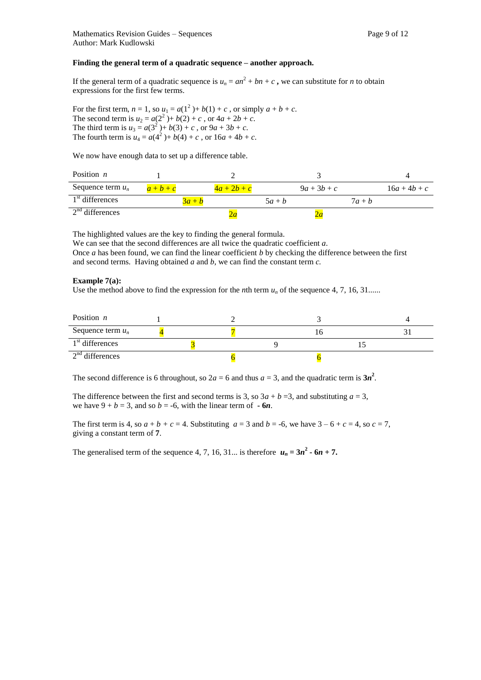#### **Finding the general term of a quadratic sequence – another approach.**

If the general term of a quadratic sequence is  $u_n = an^2 + bn + c$ , we can substitute for *n* to obtain expressions for the first few terms.

For the first term,  $n = 1$ , so  $u_1 = a(1^2) + b(1) + c$ , or simply  $a + b + c$ . The second term is  $u_2 = a(2^2) + b(2) + c$ , or  $4a + 2b + c$ . The third term is  $u_3 = a(3^2) + b(3) + c$ , or  $9a + 3b + c$ . The fourth term is  $u_4 = a(4^2) + b(4) + c$ , or  $16a + 4b + c$ .

We now have enough data to set up a difference table.

| Position $n$                |          |               |          |               |          |                |
|-----------------------------|----------|---------------|----------|---------------|----------|----------------|
| Sequence term $u_n$         | $a+b+c$  | $4a + 2b + c$ |          | $9a + 3b + c$ |          | $16a + 4b + c$ |
| 1 <sup>st</sup> differences | $3a + b$ |               | $5a + b$ |               | $7a + b$ |                |
| $2nd$ differences           |          |               |          | za            |          |                |

The highlighted values are the key to finding the general formula.

We can see that the second differences are all twice the quadratic coefficient *a*.

Once *a* has been found, we can find the linear coefficient *b* by checking the difference between the first and second terms. Having obtained *a* and *b*, we can find the constant term *c.* 

#### **Example 7(a):**

Use the method above to find the expression for the *n*th term  $u_n$  of the sequence 4, 7, 16, 31......

| Position $n$        |  |  |  |
|---------------------|--|--|--|
| Sequence term $u_n$ |  |  |  |
| $1st$ differences   |  |  |  |
| $2nd$ differences   |  |  |  |

The second difference is 6 throughout, so  $2a = 6$  and thus  $a = 3$ , and the quadratic term is  $3n^2$ .

The difference between the first and second terms is 3, so  $3a + b = 3$ , and substituting  $a = 3$ , we have  $9 + b = 3$ , and so  $b = -6$ , with the linear term of  $-6n$ .

The first term is 4, so  $a + b + c = 4$ . Substituting  $a = 3$  and  $b = -6$ , we have  $3 - 6 + c = 4$ , so  $c = 7$ , giving a constant term of **7**.

The generalised term of the sequence 4, 7, 16, 31... is therefore  $u_n = 3n^2 - 6n + 7$ .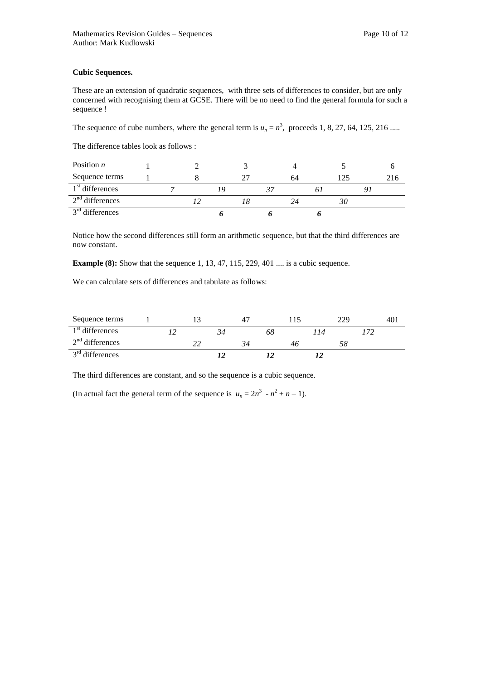#### **Cubic Sequences.**

These are an extension of quadratic sequences, with three sets of differences to consider, but are only concerned with recognising them at GCSE. There will be no need to find the general formula for such a sequence !

The sequence of cube numbers, where the general term is  $u_n = n^3$ , proceeds 1, 8, 27, 64, 125, 216 ....

The difference tables look as follows :

| Position $n$      |  |  |  |    |  |  |
|-------------------|--|--|--|----|--|--|
| Sequence terms    |  |  |  | 64 |  |  |
| $1st$ differences |  |  |  |    |  |  |
| $2nd$ differences |  |  |  |    |  |  |
| $3rd$ differences |  |  |  |    |  |  |

Notice how the second differences still form an arithmetic sequence, but that the third differences are now constant.

**Example (8):** Show that the sequence 1, 13, 47, 115, 229, 401 .... is a cubic sequence.

We can calculate sets of differences and tabulate as follows:

| Sequence terms    |  |    |    |    |    | 229 | 40 I |
|-------------------|--|----|----|----|----|-----|------|
| $1st$ differences |  | 14 | nδ |    | 14 |     |      |
| $2nd$ differences |  |    |    | 40 |    |     |      |
|                   |  |    |    |    |    |     |      |

The third differences are constant, and so the sequence is a cubic sequence.

(In actual fact the general term of the sequence is  $u_n = 2n^3 - n^2 + n - 1$ ).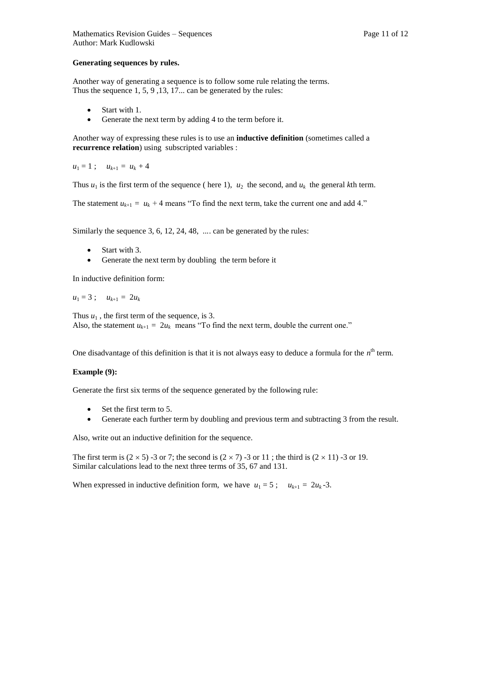#### **Generating sequences by rules.**

Another way of generating a sequence is to follow some rule relating the terms. Thus the sequence 1, 5, 9 ,13, 17... can be generated by the rules:

- Start with 1.
- Generate the next term by adding 4 to the term before it.

Another way of expressing these rules is to use an **inductive definition** (sometimes called a **recurrence relation**) using subscripted variables :

 $u_1 = 1$ ;  $u_{k+1} = u_k + 4$ 

Thus  $u_1$  is the first term of the sequence ( here 1),  $u_2$  the second, and  $u_k$  the general *k*th term.

The statement  $u_{k+1} = u_k + 4$  means "To find the next term, take the current one and add 4."

Similarly the sequence 3, 6, 12, 24, 48, .... can be generated by the rules:

- Start with 3.
- Generate the next term by doubling the term before it

In inductive definition form:

$$
u_1=3; \quad u_{k+1}=2u_k
$$

Thus  $u_1$ , the first term of the sequence, is 3. Also, the statement  $u_{k+1} = 2u_k$  means "To find the next term, double the current one."

One disadvantage of this definition is that it is not always easy to deduce a formula for the  $n<sup>th</sup>$  term.

#### **Example (9):**

Generate the first six terms of the sequence generated by the following rule:

- $\bullet$  Set the first term to 5.
- Generate each further term by doubling and previous term and subtracting 3 from the result.

Also, write out an inductive definition for the sequence.

The first term is  $(2 \times 5)$  -3 or 7; the second is  $(2 \times 7)$  -3 or 11; the third is  $(2 \times 11)$  -3 or 19. Similar calculations lead to the next three terms of 35, 67 and 131.

When expressed in inductive definition form, we have  $u_1 = 5$ ;  $u_{k+1} = 2u_k - 3$ .